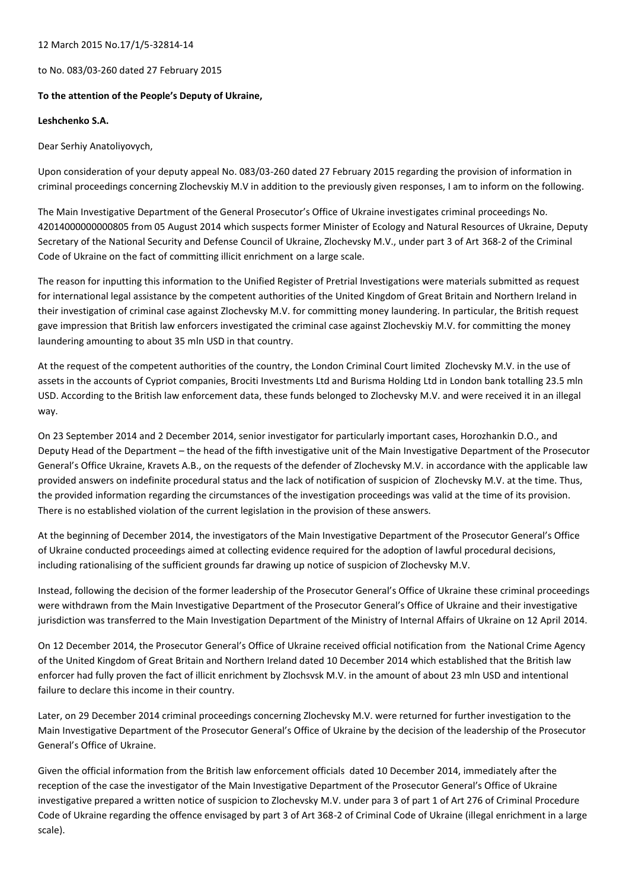## 12 March 2015 No.17/1/5-32814-14

to No. 083/03-260 dated 27 February 2015

## **To the attention of the People's Deputy of Ukraine,**

## **Leshchenko S.A.**

Dear Serhiy Anatoliyovych,

Upon consideration of your deputy appeal No. 083/03-260 dated 27 February 2015 regarding the provision of information in criminal proceedings concerning Zlochevskiy M.V in addition to the previously given responses, I am to inform on the following.

The Main Investigative Department of the General Prosecutor's Office of Ukraine investigates criminal proceedings No. 42014000000000805 from 05 August 2014 which suspects former Minister of Ecology and Natural Resources of Ukraine, Deputy Secretary of the National Security and Defense Council of Ukraine, Zlochevsky M.V., under part 3 of Art 368-2 of the Criminal Code of Ukraine on the fact of committing illicit enrichment on a large scale.

The reason for inputting this information to the Unified Register of Pretrial Investigations were materials submitted as request for international legal assistance by the competent authorities of the United Kingdom of Great Britain and Northern Ireland in their investigation of criminal case against Zlochevsky M.V. for committing money laundering. In particular, the British request gave impression that British law enforcers investigated the criminal case against Zlochevskiy M.V. for committing the money laundering amounting to about 35 mln USD in that country.

At the request of the competent authorities of the country, the London Criminal Court limited Zlochevsky M.V. in the use of assets in the accounts of Cypriot companies, Brociti Investments Ltd and Burisma Holding Ltd in London bank totalling 23.5 mln USD. According to the British law enforcement data, these funds belonged to Zlochevsky M.V. and were received it in an illegal way.

On 23 September 2014 and 2 December 2014, senior investigator for particularly important cases, Horozhankin D.O., and Deputy Head of the Department – the head of the fifth investigative unit of the Main Investigative Department of the Prosecutor General's Office Ukraine, Kravets A.B., on the requests of the defender of Zlochevsky M.V. in accordance with the applicable law provided answers on indefinite procedural status and the lack of notification of suspicion of Zlochevsky M.V. at the time. Thus, the provided information regarding the circumstances of the investigation proceedings was valid at the time of its provision. There is no established violation of the current legislation in the provision of these answers.

At the beginning of December 2014, the investigators of the Main Investigative Department of the Prosecutor General's Office of Ukraine conducted proceedings aimed at collecting evidence required for the adoption of lawful procedural decisions, including rationalising of the sufficient grounds far drawing up notice of suspicion of Zlochevsky M.V.

Instead, following the decision of the former leadership of the Prosecutor General's Office of Ukraine these criminal proceedings were withdrawn from the Main Investigative Department of the Prosecutor General's Office of Ukraine and their investigative jurisdiction was transferred to the Main Investigation Department of the Ministry of Internal Affairs of Ukraine on 12 April 2014.

On 12 December 2014, the Prosecutor General's Office of Ukraine received official notification from the National Crime Agency of the United Kingdom of Great Britain and Northern Ireland dated 10 December 2014 which established that the British law enforcer had fully proven the fact of illicit enrichment by Zlochsvsk M.V. in the amount of about 23 mln USD and intentional failure to declare this income in their country.

Later, on 29 December 2014 criminal proceedings concerning Zlochevsky M.V. were returned for further investigation to the Main Investigative Department of the Prosecutor General's Office of Ukraine by the decision of the leadership of the Prosecutor General's Office of Ukraine.

Given the official information from the British law enforcement officials dated 10 December 2014, immediately after the reception of the case the investigator of the Main Investigative Department of the Prosecutor General's Office of Ukraine investigative prepared a written notice of suspicion to Zlochevsky M.V. under para 3 of part 1 of Art 276 of Criminal Procedure Code of Ukraine regarding the offence envisaged by part 3 of Art 368-2 of Criminal Code of Ukraine (illegal enrichment in a large scale).